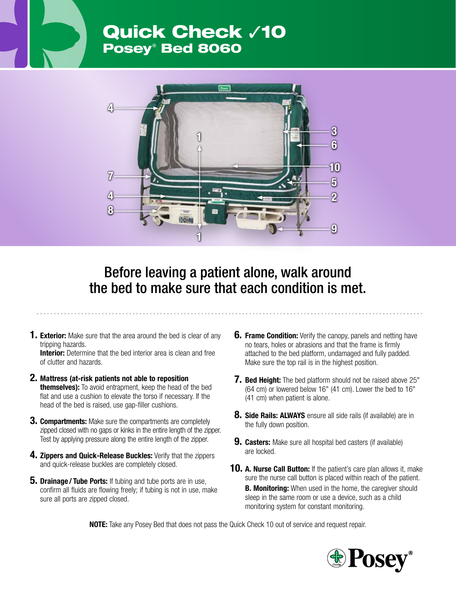## Quick Check √10 Posey® Bed 8060



## Before leaving a patient alone, walk around the bed to make sure that each condition is met.

**1. Exterior:** Make sure that the area around the bed is clear of any tripping hazards.

**Interior:** Determine that the bed interior area is clean and free of clutter and hazards.

- 2. Mattress (at-risk patients not able to reposition **themselves):** To avoid entrapment, keep the head of the bed flat and use a cushion to elevate the torso if necessary. If the head of the bed is raised, use gap-filler cushions.
- **3. Compartments:** Make sure the compartments are completely zipped closed with no gaps or kinks in the entire length of the zipper. Test by applying pressure along the entire length of the zipper.
- 4. Zippers and Quick-Release Buckles: Verify that the zippers and quick-release buckles are completely closed.
- **5. Drainage / Tube Ports:** If tubing and tube ports are in use, confirm all fluids are flowing freely; if tubing is not in use, make sure all ports are zipped closed.
- **6. Frame Condition:** Verify the canopy, panels and netting have no tears, holes or abrasions and that the frame is firmly attached to the bed platform, undamaged and fully padded. Make sure the top rail is in the highest position.
- **7. Bed Height:** The bed platform should not be raised above 25" (64 cm) or lowered below 16" (41 cm). Lower the bed to 16" (41 cm) when patient is alone.
- **8. Side Rails: ALWAYS** ensure all side rails (if available) are in the fully down position.
- **9. Casters:** Make sure all hospital bed casters (if available) are locked.
- **10. A. Nurse Call Button:** If the patient's care plan allows it, make sure the nurse call button is placed within reach of the patient. **B. Monitoring:** When used in the home, the caregiver should sleep in the same room or use a device, such as a child monitoring system for constant monitoring.

NOTE: Take any Posey Bed that does not pass the Quick Check 10 out of service and request repair.